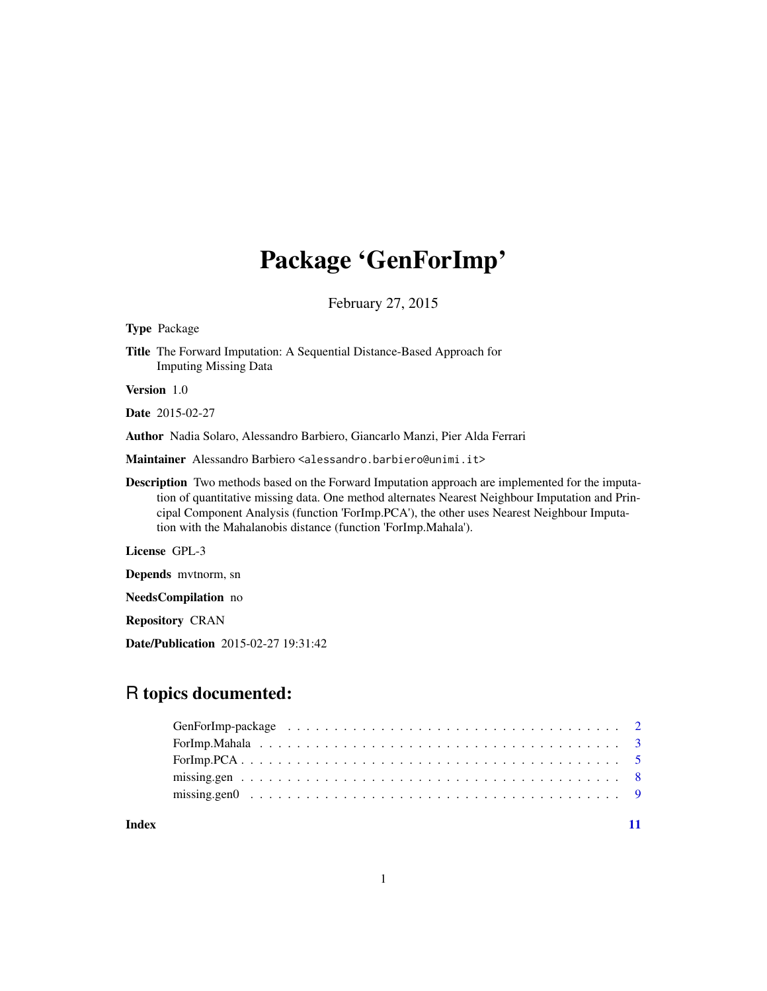## Package 'GenForImp'

February 27, 2015

Type Package

Title The Forward Imputation: A Sequential Distance-Based Approach for Imputing Missing Data

Version 1.0

Date 2015-02-27

Author Nadia Solaro, Alessandro Barbiero, Giancarlo Manzi, Pier Alda Ferrari

Maintainer Alessandro Barbiero <alessandro.barbiero@unimi.it>

Description Two methods based on the Forward Imputation approach are implemented for the imputation of quantitative missing data. One method alternates Nearest Neighbour Imputation and Principal Component Analysis (function 'ForImp.PCA'), the other uses Nearest Neighbour Imputation with the Mahalanobis distance (function 'ForImp.Mahala').

License GPL-3

Depends mvtnorm, sn

NeedsCompilation no

Repository CRAN

Date/Publication 2015-02-27 19:31:42

## R topics documented:

**Index** [11](#page-10-0)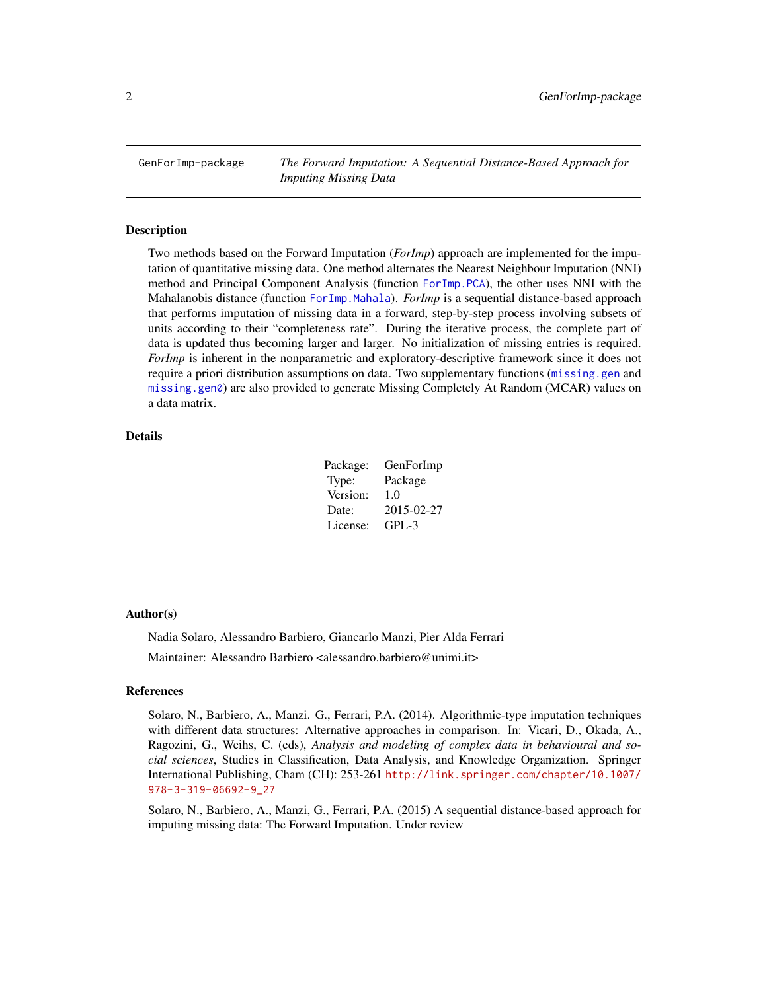<span id="page-1-0"></span>GenForImp-package *The Forward Imputation: A Sequential Distance-Based Approach for Imputing Missing Data*

#### Description

Two methods based on the Forward Imputation (*ForImp*) approach are implemented for the imputation of quantitative missing data. One method alternates the Nearest Neighbour Imputation (NNI) method and Principal Component Analysis (function [ForImp.PCA](#page-4-1)), the other uses NNI with the Mahalanobis distance (function [ForImp.Mahala](#page-2-1)). *ForImp* is a sequential distance-based approach that performs imputation of missing data in a forward, step-by-step process involving subsets of units according to their "completeness rate". During the iterative process, the complete part of data is updated thus becoming larger and larger. No initialization of missing entries is required. *ForImp* is inherent in the nonparametric and exploratory-descriptive framework since it does not require a priori distribution assumptions on data. Two supplementary functions ([missing.gen](#page-7-1) and [missing.gen0](#page-8-1)) are also provided to generate Missing Completely At Random (MCAR) values on a data matrix.

## Details

| Package: | GenForImp  |
|----------|------------|
| Type:    | Package    |
| Version: | 1.0        |
| Date:    | 2015-02-27 |
| License: | GPL-3      |

#### Author(s)

Nadia Solaro, Alessandro Barbiero, Giancarlo Manzi, Pier Alda Ferrari Maintainer: Alessandro Barbiero <alessandro.barbiero@unimi.it>

## References

Solaro, N., Barbiero, A., Manzi. G., Ferrari, P.A. (2014). Algorithmic-type imputation techniques with different data structures: Alternative approaches in comparison. In: Vicari, D., Okada, A., Ragozini, G., Weihs, C. (eds), *Analysis and modeling of complex data in behavioural and social sciences*, Studies in Classification, Data Analysis, and Knowledge Organization. Springer International Publishing, Cham (CH): 253-261 [http://link.springer.com/chapter/10.1007/](http://link.springer.com/chapter/10.1007/978-3-319-06692-9_27) [978-3-319-06692-9\\_27](http://link.springer.com/chapter/10.1007/978-3-319-06692-9_27)

Solaro, N., Barbiero, A., Manzi, G., Ferrari, P.A. (2015) A sequential distance-based approach for imputing missing data: The Forward Imputation. Under review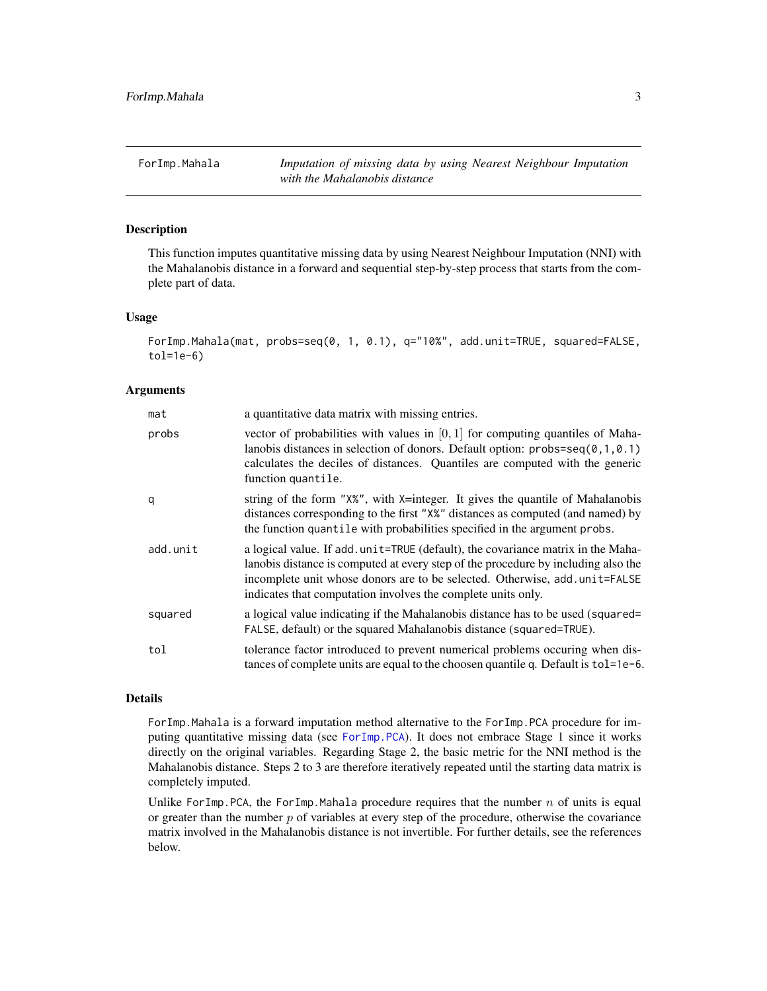<span id="page-2-1"></span><span id="page-2-0"></span>ForImp.Mahala *Imputation of missing data by using Nearest Neighbour Imputation with the Mahalanobis distance*

## Description

This function imputes quantitative missing data by using Nearest Neighbour Imputation (NNI) with the Mahalanobis distance in a forward and sequential step-by-step process that starts from the complete part of data.

#### Usage

```
ForImp.Mahala(mat, probs=seq(0, 1, 0.1), q="10%", add.unit=TRUE, squared=FALSE,
tol=1e-6)
```
#### Arguments

| mat      | a quantitative data matrix with missing entries.                                                                                                                                                                                                                                                                   |
|----------|--------------------------------------------------------------------------------------------------------------------------------------------------------------------------------------------------------------------------------------------------------------------------------------------------------------------|
| probs    | vector of probabilities with values in $[0, 1]$ for computing quantiles of Maha-<br>lanobis distances in selection of donors. Default option: $probs = seq(0, 1, 0.1)$<br>calculates the deciles of distances. Quantiles are computed with the generic<br>function quantile.                                       |
| q        | string of the form "X%", with X=integer. It gives the quantile of Mahalanobis<br>distances corresponding to the first "X%" distances as computed (and named) by<br>the function quantile with probabilities specified in the argument probs.                                                                       |
| add.unit | a logical value. If add unit=TRUE (default), the covariance matrix in the Maha-<br>lanobis distance is computed at every step of the procedure by including also the<br>incomplete unit whose donors are to be selected. Otherwise, add.unit=FALSE<br>indicates that computation involves the complete units only. |
| squared  | a logical value indicating if the Mahalanobis distance has to be used (squared=<br>FALSE, default) or the squared Mahalanobis distance (squared=TRUE).                                                                                                                                                             |
| tol      | tolerance factor introduced to prevent numerical problems occuring when dis-<br>tances of complete units are equal to the choosen quantile q. Default is tol=1e-6.                                                                                                                                                 |

## Details

ForImp.Mahala is a forward imputation method alternative to the ForImp.PCA procedure for imputing quantitative missing data (see [ForImp.PCA](#page-4-1)). It does not embrace Stage 1 since it works directly on the original variables. Regarding Stage 2, the basic metric for the NNI method is the Mahalanobis distance. Steps 2 to 3 are therefore iteratively repeated until the starting data matrix is completely imputed.

Unlike ForImp.PCA, the ForImp.Mahala procedure requires that the number  $n$  of units is equal or greater than the number  $p$  of variables at every step of the procedure, otherwise the covariance matrix involved in the Mahalanobis distance is not invertible. For further details, see the references below.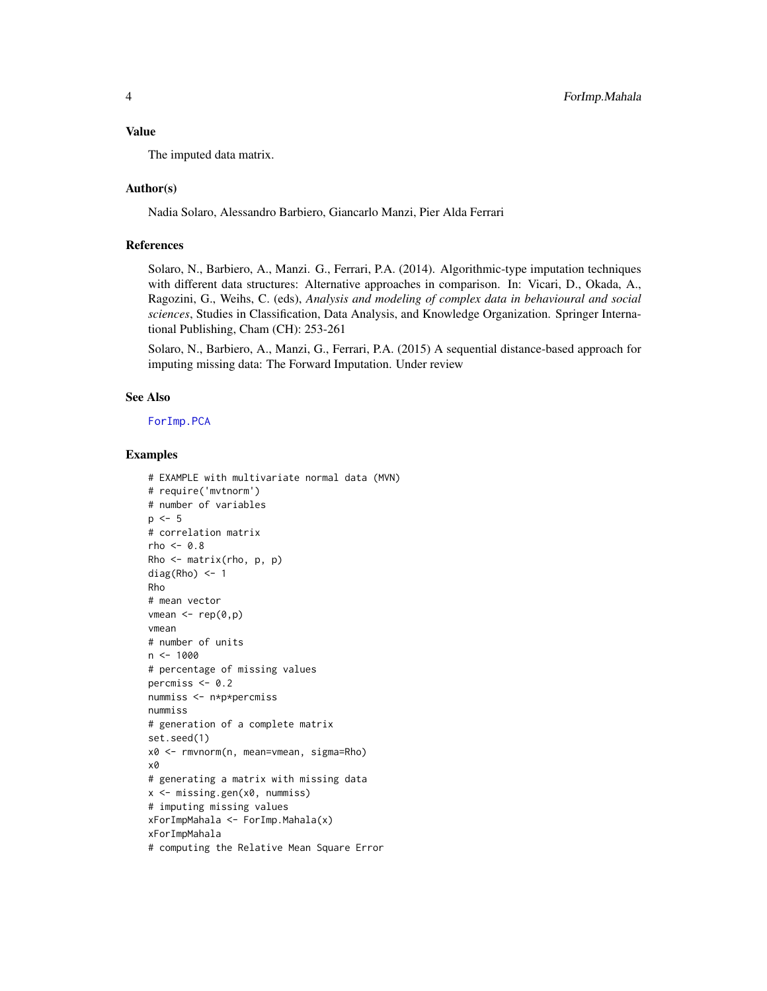#### <span id="page-3-0"></span>Value

The imputed data matrix.

## Author(s)

Nadia Solaro, Alessandro Barbiero, Giancarlo Manzi, Pier Alda Ferrari

## References

Solaro, N., Barbiero, A., Manzi. G., Ferrari, P.A. (2014). Algorithmic-type imputation techniques with different data structures: Alternative approaches in comparison. In: Vicari, D., Okada, A., Ragozini, G., Weihs, C. (eds), *Analysis and modeling of complex data in behavioural and social sciences*, Studies in Classification, Data Analysis, and Knowledge Organization. Springer International Publishing, Cham (CH): 253-261

Solaro, N., Barbiero, A., Manzi, G., Ferrari, P.A. (2015) A sequential distance-based approach for imputing missing data: The Forward Imputation. Under review

## See Also

[ForImp.PCA](#page-4-1)

#### Examples

```
# EXAMPLE with multivariate normal data (MVN)
# require('mvtnorm')
# number of variables
p \le -5# correlation matrix
rho <-0.8Rho <- matrix(rho, p, p)
diag(Rho) <- 1
Rho
# mean vector
vmean \le rep(0,p)vmean
# number of units
n <- 1000
# percentage of missing values
percmiss <-0.2nummiss <- n*p*percmiss
nummiss
# generation of a complete matrix
set.seed(1)
x0 <- rmvnorm(n, mean=vmean, sigma=Rho)
x0
# generating a matrix with missing data
x <- missing.gen(x0, nummiss)
# imputing missing values
xForImpMahala <- ForImp.Mahala(x)
xForImpMahala
# computing the Relative Mean Square Error
```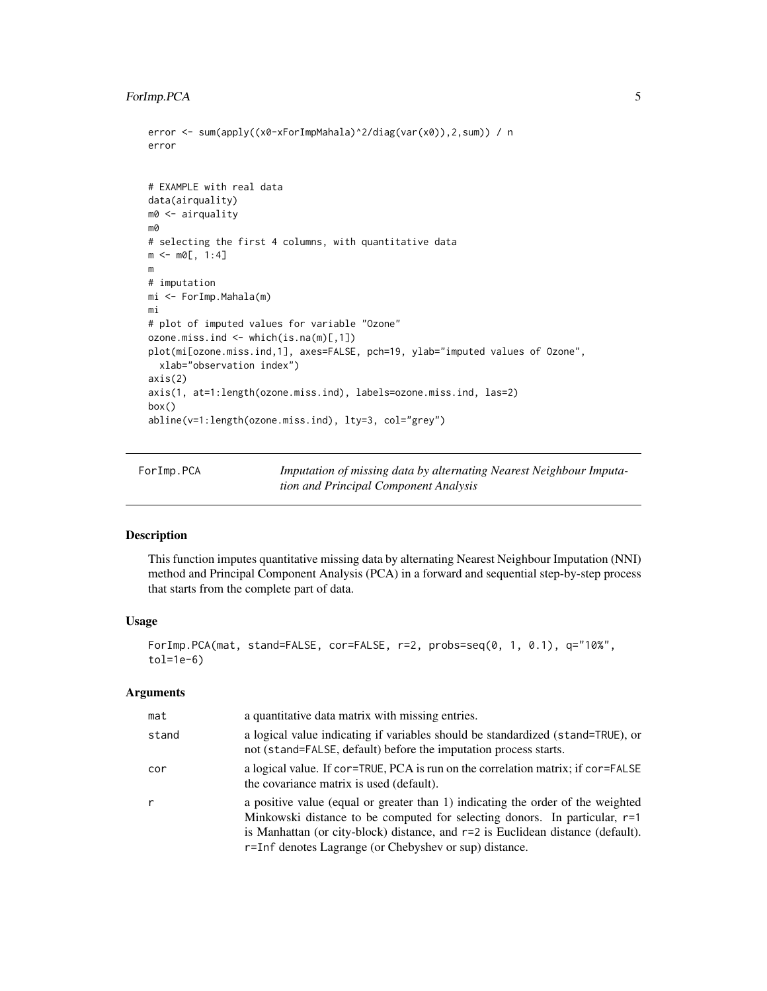## <span id="page-4-0"></span>ForImp.PCA 5

```
error <- sum(apply((x0-xForImpMahala)^2/diag(var(x0)),2,sum)) / n
error
# EXAMPLE with real data
data(airquality)
m0 <- airquality
m0
# selecting the first 4 columns, with quantitative data
m < - m0[, 1:4]
m
# imputation
mi <- ForImp.Mahala(m)
mi
# plot of imputed values for variable "Ozone"
ozone.miss.ind <- which(is.na(m)[,1])
plot(mi[ozone.miss.ind,1], axes=FALSE, pch=19, ylab="imputed values of Ozone",
  xlab="observation index")
axis(2)
axis(1, at=1:length(ozone.miss.ind), labels=ozone.miss.ind, las=2)
box()
abline(v=1:length(ozone.miss.ind), lty=3, col="grey")
```
<span id="page-4-1"></span>ForImp.PCA *Imputation of missing data by alternating Nearest Neighbour Imputation and Principal Component Analysis*

## Description

This function imputes quantitative missing data by alternating Nearest Neighbour Imputation (NNI) method and Principal Component Analysis (PCA) in a forward and sequential step-by-step process that starts from the complete part of data.

#### Usage

```
ForImp.PCA(mat, stand=FALSE, cor=FALSE, r=2, probs=seq(0, 1, 0.1), q="10%",
tol=1e-6)
```
## Arguments

| mat   | a quantitative data matrix with missing entries.                                                                                                                                                                                                                                                             |
|-------|--------------------------------------------------------------------------------------------------------------------------------------------------------------------------------------------------------------------------------------------------------------------------------------------------------------|
| stand | a logical value indicating if variables should be standardized (stand=TRUE), or<br>not (stand=FALSE, default) before the imputation process starts.                                                                                                                                                          |
| cor   | a logical value. If cor=TRUE, PCA is run on the correlation matrix; if cor=FALSE<br>the covariance matrix is used (default).                                                                                                                                                                                 |
| r     | a positive value (equal or greater than 1) indicating the order of the weighted<br>Minkowski distance to be computed for selecting donors. In particular, $r=1$<br>is Manhattan (or city-block) distance, and r=2 is Euclidean distance (default).<br>r=Inf denotes Lagrange (or Chebyshev or sup) distance. |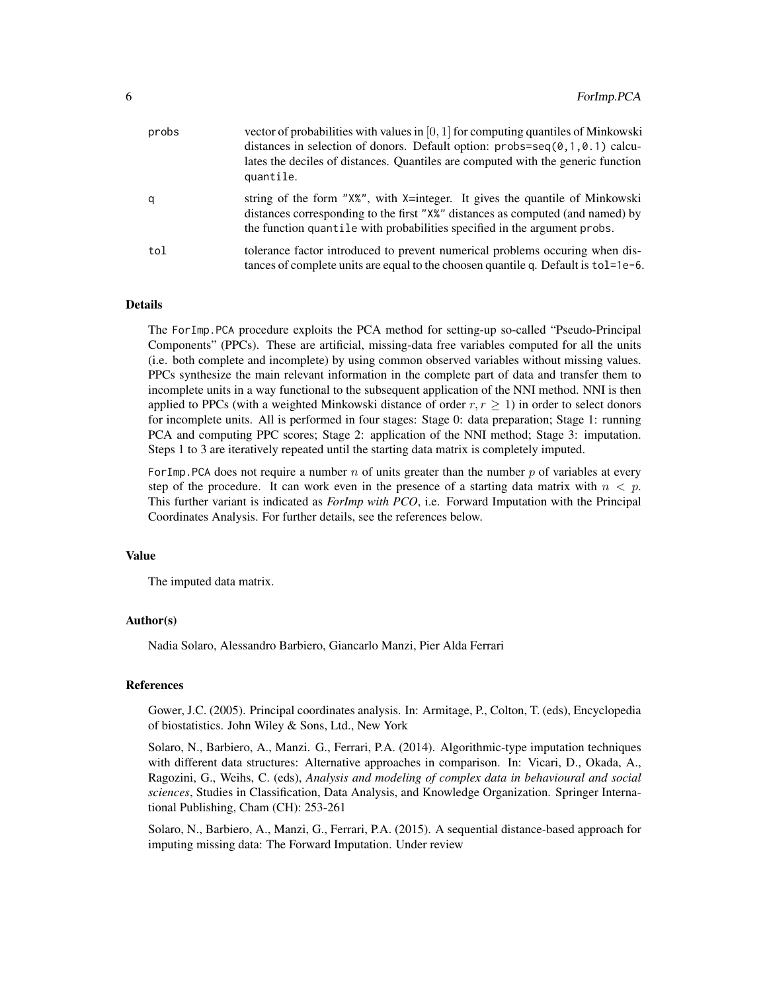| probs | vector of probabilities with values in $[0, 1]$ for computing quantiles of Minkowski<br>distances in selection of donors. Default option: $probs = seq(0, 1, 0.1)$ calcu-<br>lates the deciles of distances. Quantiles are computed with the generic function<br>quantile. |
|-------|----------------------------------------------------------------------------------------------------------------------------------------------------------------------------------------------------------------------------------------------------------------------------|
| q     | string of the form "X%", with X=integer. It gives the quantile of Minkowski<br>distances corresponding to the first "X%" distances as computed (and named) by<br>the function quantile with probabilities specified in the argument probs.                                 |
| tol   | tolerance factor introduced to prevent numerical problems occuring when dis-<br>tances of complete units are equal to the choosen quantile q. Default is tol=1e-6.                                                                                                         |

## Details

The ForImp.PCA procedure exploits the PCA method for setting-up so-called "Pseudo-Principal Components" (PPCs). These are artificial, missing-data free variables computed for all the units (i.e. both complete and incomplete) by using common observed variables without missing values. PPCs synthesize the main relevant information in the complete part of data and transfer them to incomplete units in a way functional to the subsequent application of the NNI method. NNI is then applied to PPCs (with a weighted Minkowski distance of order  $r, r \geq 1$ ) in order to select donors for incomplete units. All is performed in four stages: Stage 0: data preparation; Stage 1: running PCA and computing PPC scores; Stage 2: application of the NNI method; Stage 3: imputation. Steps 1 to 3 are iteratively repeated until the starting data matrix is completely imputed.

For Imp. PCA does not require a number n of units greater than the number p of variables at every step of the procedure. It can work even in the presence of a starting data matrix with  $n < p$ . This further variant is indicated as *ForImp with PCO*, i.e. Forward Imputation with the Principal Coordinates Analysis. For further details, see the references below.

## Value

The imputed data matrix.

#### Author(s)

Nadia Solaro, Alessandro Barbiero, Giancarlo Manzi, Pier Alda Ferrari

#### References

Gower, J.C. (2005). Principal coordinates analysis. In: Armitage, P., Colton, T. (eds), Encyclopedia of biostatistics. John Wiley & Sons, Ltd., New York

Solaro, N., Barbiero, A., Manzi. G., Ferrari, P.A. (2014). Algorithmic-type imputation techniques with different data structures: Alternative approaches in comparison. In: Vicari, D., Okada, A., Ragozini, G., Weihs, C. (eds), *Analysis and modeling of complex data in behavioural and social sciences*, Studies in Classification, Data Analysis, and Knowledge Organization. Springer International Publishing, Cham (CH): 253-261

Solaro, N., Barbiero, A., Manzi, G., Ferrari, P.A. (2015). A sequential distance-based approach for imputing missing data: The Forward Imputation. Under review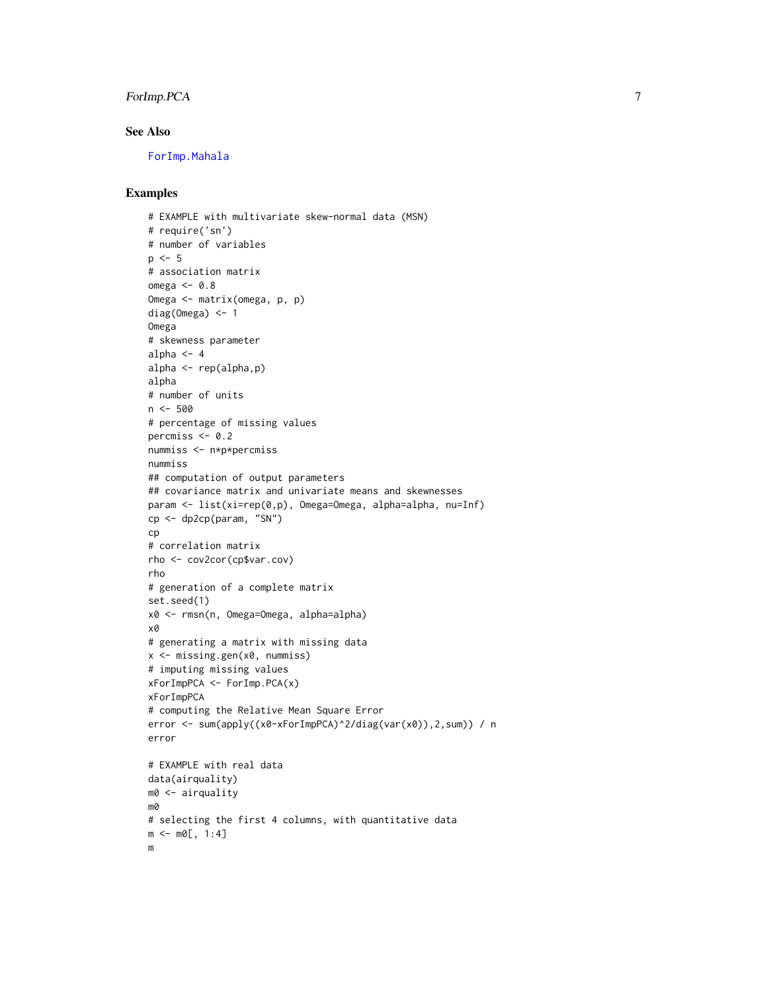## <span id="page-6-0"></span>ForImp.PCA 7

## See Also

[ForImp.Mahala](#page-2-1)

## Examples

```
# EXAMPLE with multivariate skew-normal data (MSN)
# require('sn')
# number of variables
p \le -5# association matrix
omega <-0.8Omega <- matrix(omega, p, p)
diag(Omega) <- 1
Omega
# skewness parameter
alpha <-4alpha <- rep(alpha,p)
alpha
# number of units
n < -500# percentage of missing values
percmiss <-0.2nummiss <- n*p*percmiss
nummiss
## computation of output parameters
## covariance matrix and univariate means and skewnesses
param <- list(xi=rep(0,p), Omega=Omega, alpha=alpha, nu=Inf)
cp <- dp2cp(param, "SN")
cp
# correlation matrix
rho <- cov2cor(cp$var.cov)
rho
# generation of a complete matrix
set.seed(1)
x0 <- rmsn(n, Omega=Omega, alpha=alpha)
x0
# generating a matrix with missing data
x <- missing.gen(x0, nummiss)
# imputing missing values
xForImpPCA <- ForImp.PCA(x)
xForImpPCA
# computing the Relative Mean Square Error
error <- sum(apply((x0-xForImpPCA)^2/diag(var(x0)),2,sum)) / n
error
# EXAMPLE with real data
data(airquality)
m0 <- airquality
m0
# selecting the first 4 columns, with quantitative data
m < - m0[, 1:4]
m
```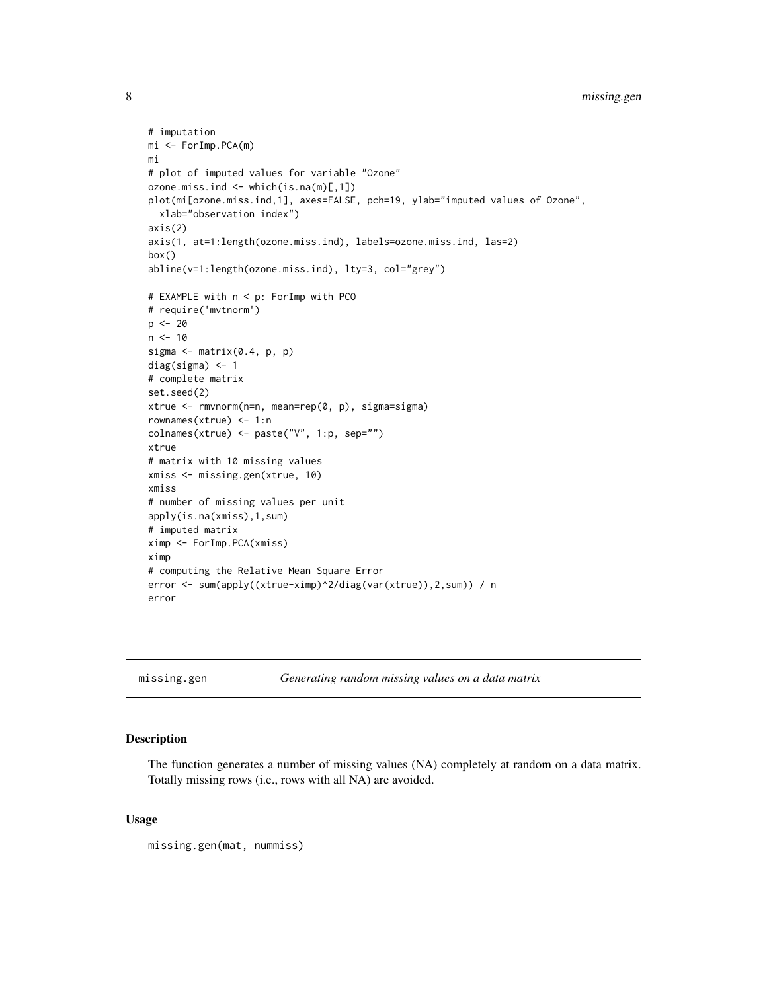```
8 missing.gen
```

```
# imputation
mi <- ForImp.PCA(m)
mi
# plot of imputed values for variable "Ozone"
ozone.miss.ind <- which(is.na(m)[,1])
plot(mi[ozone.miss.ind,1], axes=FALSE, pch=19, ylab="imputed values of Ozone",
  xlab="observation index")
axis(2)
axis(1, at=1:length(ozone.miss.ind), labels=ozone.miss.ind, las=2)
box()
abline(v=1:length(ozone.miss.ind), lty=3, col="grey")
# EXAMPLE with n < p: ForImp with PCO
# require('mvtnorm')
p \le -20n < -10sigma \leq matrix(0.4, p, p)
diag(sigma) <- 1
# complete matrix
set.seed(2)
xtrue <- rmvnorm(n=n, mean=rep(0, p), sigma=sigma)
rownames(xtrue) <- 1:n
colnames(xtrue) <- paste("V", 1:p, sep="")
xtrue
# matrix with 10 missing values
xmiss <- missing.gen(xtrue, 10)
xmiss
# number of missing values per unit
apply(is.na(xmiss),1,sum)
# imputed matrix
ximp <- ForImp.PCA(xmiss)
ximp
# computing the Relative Mean Square Error
error <- sum(apply((xtrue-ximp)^2/diag(var(xtrue)),2,sum)) / n
error
```
<span id="page-7-1"></span>missing.gen *Generating random missing values on a data matrix*

## Description

The function generates a number of missing values (NA) completely at random on a data matrix. Totally missing rows (i.e., rows with all NA) are avoided.

## Usage

missing.gen(mat, nummiss)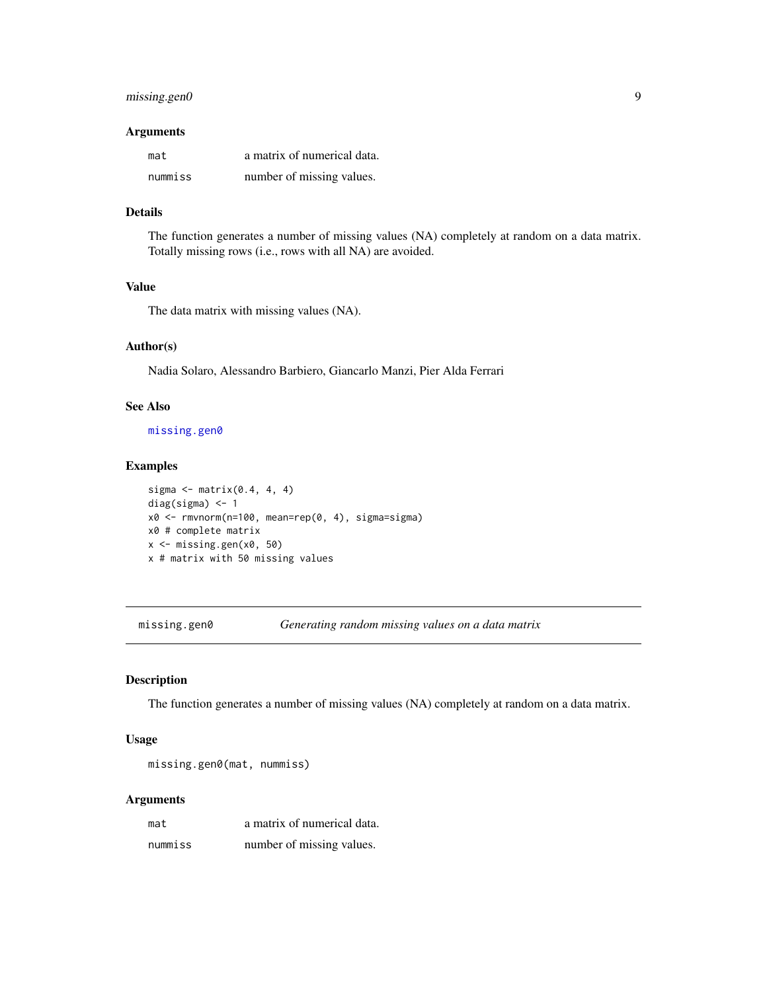## <span id="page-8-0"></span>missing.gen0 9

## Arguments

| mat     | a matrix of numerical data. |
|---------|-----------------------------|
| nummiss | number of missing values.   |

## Details

The function generates a number of missing values (NA) completely at random on a data matrix. Totally missing rows (i.e., rows with all NA) are avoided.

## Value

The data matrix with missing values (NA).

#### Author(s)

Nadia Solaro, Alessandro Barbiero, Giancarlo Manzi, Pier Alda Ferrari

## See Also

[missing.gen0](#page-8-1)

#### Examples

```
sigma <- matrix(0.4, 4, 4)
diag(sigma) <- 1
x0 <- rmvnorm(n=100, mean=rep(0, 4), sigma=sigma)
x0 # complete matrix
x \leftarrow missing.gen(x0, 50)
x # matrix with 50 missing values
```
<span id="page-8-1"></span>missing.gen0 *Generating random missing values on a data matrix*

## Description

The function generates a number of missing values (NA) completely at random on a data matrix.

#### Usage

```
missing.gen0(mat, nummiss)
```
## Arguments

| mat     | a matrix of numerical data. |
|---------|-----------------------------|
| nummiss | number of missing values.   |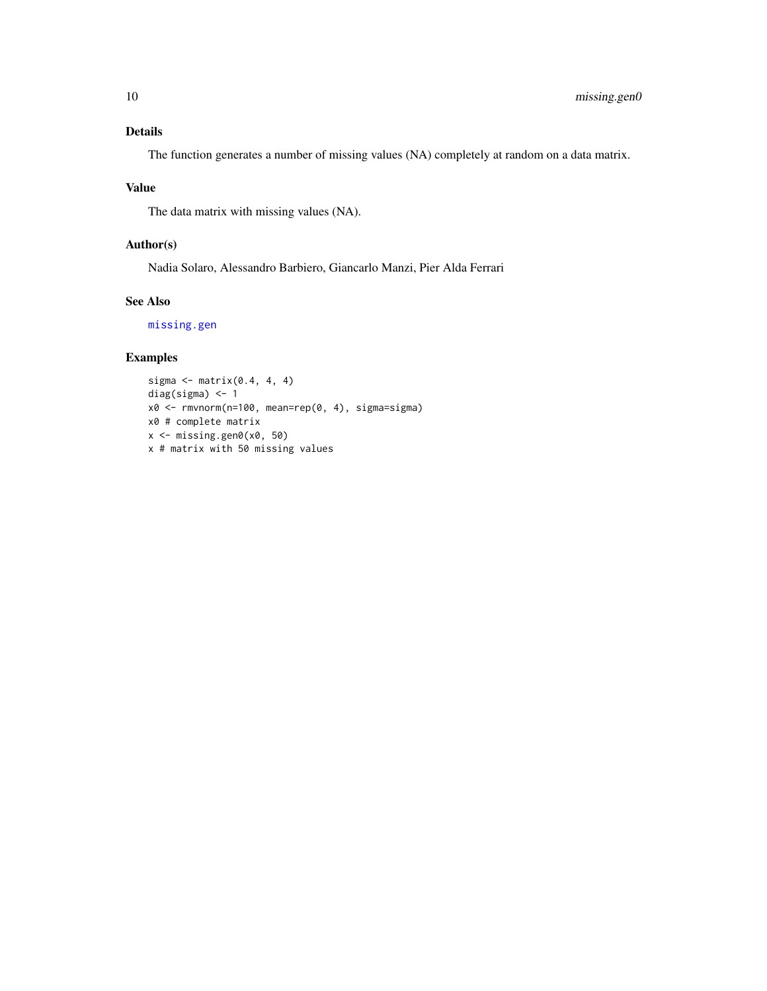## <span id="page-9-0"></span>Details

The function generates a number of missing values (NA) completely at random on a data matrix.

## Value

The data matrix with missing values (NA).

## Author(s)

Nadia Solaro, Alessandro Barbiero, Giancarlo Manzi, Pier Alda Ferrari

## See Also

[missing.gen](#page-7-1)

## Examples

```
sigma <- matrix(0.4, 4, 4)
diag(sigma) <- 1
x0 <- rmvnorm(n=100, mean=rep(0, 4), sigma=sigma)
x0 # complete matrix
x <- missing.gen0(x0, 50)
x # matrix with 50 missing values
```